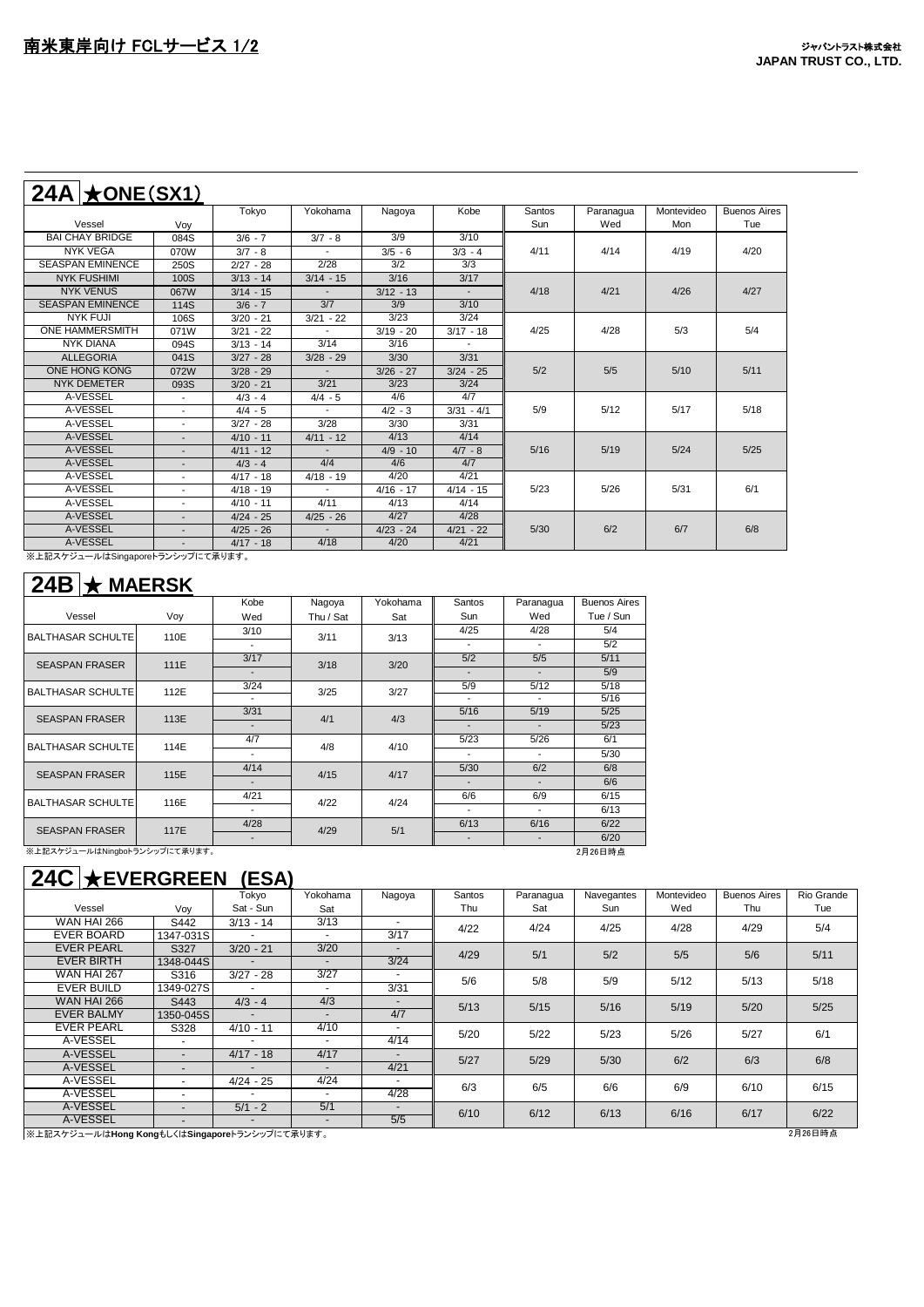| $24A$ $\star$ ONE(SX1)  |                          |             |                          |             |              |               |           |            |                     |
|-------------------------|--------------------------|-------------|--------------------------|-------------|--------------|---------------|-----------|------------|---------------------|
|                         |                          | Tokyo       | Yokohama                 | Nagoya      | Kobe         | <b>Santos</b> | Paranagua | Montevideo | <b>Buenos Aires</b> |
| Vessel                  | Voy                      |             |                          |             |              | Sun           | Wed       | Mon        | Tue                 |
| <b>BAI CHAY BRIDGE</b>  | 084S                     | $3/6 - 7$   | $3/7 - 8$                | 3/9         | 3/10         |               |           |            |                     |
| <b>NYK VEGA</b>         | 070W                     | $3/7 - 8$   |                          | $3/5 - 6$   | $3/3 - 4$    | 4/11          | 4/14      | 4/19       | 4/20                |
| <b>SEASPAN EMINENCE</b> | 250S                     | $2/27 - 28$ | 2/28                     | 3/2         | 3/3          |               |           |            |                     |
| <b>NYK FUSHIMI</b>      | 100S                     | $3/13 - 14$ | $3/14 - 15$              | 3/16        | 3/17         |               |           |            |                     |
| <b>NYK VENUS</b>        | 067W                     | $3/14 - 15$ |                          | $3/12 - 13$ |              | 4/18          | 4/21      | 4/26       | 4/27                |
| <b>SEASPAN EMINENCE</b> | <b>114S</b>              | $3/6 - 7$   | 3/7                      | 3/9         | 3/10         |               |           |            |                     |
| NYK FUJI                | 106S                     | $3/20 - 21$ | $3/21 - 22$              | 3/23        | 3/24         |               |           |            |                     |
| <b>ONE HAMMERSMITH</b>  | 071W                     | $3/21 - 22$ |                          | $3/19 - 20$ | $3/17 - 18$  | 4/25          | 4/28      | 5/3        | 5/4                 |
| <b>NYK DIANA</b>        | 094S                     | $3/13 - 14$ | 3/14                     | 3/16        |              |               |           |            |                     |
| <b>ALLEGORIA</b>        | 041S                     | $3/27 - 28$ | $3/28 - 29$              | 3/30        | 3/31         |               |           |            |                     |
| ONE HONG KONG           | 072W                     | $3/28 - 29$ |                          | $3/26 - 27$ | $3/24 - 25$  | 5/2           | 5/5       | 5/10       | 5/11                |
| <b>NYK DEMETER</b>      | 093S                     | $3/20 - 21$ | 3/21                     | 3/23        | 3/24         |               |           |            |                     |
| A-VESSEL                | $\blacksquare$           | $4/3 - 4$   | $4/4 - 5$                | 4/6         | 4/7          |               |           |            |                     |
| A-VESSEL                | $\overline{\phantom{a}}$ | $4/4 - 5$   | $\overline{\phantom{a}}$ | $4/2 - 3$   | $3/31 - 4/1$ | 5/9           | 5/12      | 5/17       | 5/18                |
| A-VESSEL                |                          | $3/27 - 28$ | 3/28                     | 3/30        | 3/31         |               |           |            |                     |
| A-VESSEL                | $\overline{\phantom{a}}$ | $4/10 - 11$ | $4/11 - 12$              | 4/13        | 4/14         |               |           |            |                     |
| A-VESSEL                | $\overline{\phantom{a}}$ | $4/11 - 12$ |                          | $4/9 - 10$  | $4/7 - 8$    | 5/16          | 5/19      | 5/24       | 5/25                |
| A-VESSEL                |                          | $4/3 - 4$   | 4/4                      | 4/6         | 4/7          |               |           |            |                     |
| A-VESSEL                | $\overline{\phantom{a}}$ | $4/17 - 18$ | $4/18 - 19$              | 4/20        | 4/21         |               |           |            |                     |
| A-VESSEL                | $\overline{a}$           | $4/18 - 19$ | $\sim$                   | $4/16 - 17$ | $4/14 - 15$  | 5/23          | 5/26      | 5/31       | 6/1                 |
| A-VESSEL                |                          | $4/10 - 11$ | 4/11                     | 4/13        | 4/14         |               |           |            |                     |
| A-VESSEL                | $\overline{\phantom{a}}$ | $4/24 - 25$ | $4/25 - 26$              | 4/27        | 4/28         |               |           |            |                     |
| A-VESSEL                | $\overline{\phantom{a}}$ | $4/25 - 26$ | $\blacksquare$           | $4/23 - 24$ | $4/21 - 22$  | 5/30          | 6/2       | 6/7        | 6/8                 |
| A-VESSEL                |                          | $4/17 - 18$ | 4/18                     | 4/20        | 4/21         |               |           |            |                     |

※上記スケジュールはSingaporeトランシップにて承ります。

| $24B \times \text{MAERSK}$    |      |                          |           |          |                              |           |                     |
|-------------------------------|------|--------------------------|-----------|----------|------------------------------|-----------|---------------------|
|                               |      | Kobe                     | Nagoya    | Yokohama | Santos                       | Paranagua | <b>Buenos Aires</b> |
| Vessel                        | Voy  | Wed                      | Thu / Sat | Sat      | Sun                          | Wed       | Tue / Sun           |
| <b>BALTHASAR SCHULTE</b>      | 110E | 3/10                     | 3/11      |          | 4/25                         | 4/28      | 5/4                 |
|                               |      | ٠                        |           | 3/13     |                              |           | 5/2                 |
| <b>SEASPAN FRASER</b>         | 111E | 3/17                     | 3/18      | 3/20     | 5/2                          | 5/5       | 5/11                |
|                               |      |                          |           |          |                              |           | 5/9                 |
| <b>BALTHASAR SCHULTE</b>      | 112E | 3/24                     | 3/25      | 3/27     | 5/9                          | 5/12      | 5/18                |
|                               |      |                          |           |          |                              |           | 5/16                |
| <b>SEASPAN FRASER</b>         | 113E | 3/31                     | 4/1       | 4/3      | 5/16                         | 5/19      | 5/25                |
|                               |      |                          |           |          |                              |           | 5/23                |
| <b>BALTHASAR SCHULTE</b>      | 114E | 4/7                      | 4/8       | 4/10     | 5/23                         | 5/26      | 6/1                 |
|                               |      | ٠                        |           |          | ٠                            |           | 5/30                |
| <b>SEASPAN FRASER</b>         | 115E | 4/14                     | 4/15      | 4/17     | 5/30                         | 6/2       | 6/8                 |
|                               |      |                          |           |          |                              |           | 6/6                 |
| <b>BALTHASAR SCHULTE</b>      | 116E | 4/21                     | 4/22      | 4/24     | 6/6                          | 6/9       | 6/15                |
|                               |      |                          |           |          |                              |           | 6/13                |
| <b>SEASPAN FRASER</b>         | 117E | 4/28                     | 4/29      | 5/1      | 6/13                         | 6/16      | 6/22                |
|                               |      | $\overline{\phantom{a}}$ |           |          | $\qquad \qquad \blacksquare$ |           | 6/20                |
| ※上記スケジュールはNingboトランシップにて承ります。 |      |                          |           |          |                              |           | 2月26日時点             |

## **24C** ★**EVERGREEN (ESA)**

|                                                          |                          | Tokyo                    | Yokohama                 | Nagoya                   | Santos | Paranagua | Navegantes | Montevideo | <b>Buenos Aires</b> | Rio Grande |
|----------------------------------------------------------|--------------------------|--------------------------|--------------------------|--------------------------|--------|-----------|------------|------------|---------------------|------------|
| Vessel                                                   | Vov                      | Sat - Sun                | Sat                      |                          | Thu    | Sat       | Sun        | Wed        | Thu                 | Tue        |
| WAN HAI 266                                              | S442                     | $3/13 - 14$              | 3/13                     | $\overline{\phantom{a}}$ | 4/22   | 4/24      | 4/25       | 4/28       | 4/29                | 5/4        |
| <b>EVER BOARD</b>                                        | 1347-031S                | ٠                        | $\overline{\phantom{a}}$ | 3/17                     |        |           |            |            |                     |            |
| <b>EVER PEARL</b>                                        | S327                     | $3/20 - 21$              | 3/20                     | $\overline{\phantom{a}}$ | 4/29   | 5/1       | 5/2        | 5/5        | 5/6                 | 5/11       |
| <b>EVER BIRTH</b>                                        | 1348-044S                | $\overline{a}$           | $\overline{\phantom{a}}$ | 3/24                     |        |           |            |            |                     |            |
| <b>WAN HAI 267</b>                                       | S316                     | $3/27 - 28$              | 3/27                     |                          | 5/6    | 5/8       | 5/9        | 5/12       | 5/13                | 5/18       |
| <b>EVER BUILD</b>                                        | 1349-027S                |                          |                          | 3/31                     |        |           |            |            |                     |            |
| <b>WAN HAI 266</b>                                       | S443                     | $4/3 - 4$                | 4/3                      | $\overline{\phantom{a}}$ | 5/13   | 5/15      | 5/16       | 5/19       | 5/20                | $5/25$     |
| <b>EVER BALMY</b>                                        | 1350-045S                | $\sim$                   | $\overline{a}$           | 4/7                      |        |           |            |            |                     |            |
| <b>EVER PEARL</b>                                        | S328                     | $4/10 - 11$              | 4/10                     | $\overline{\phantom{0}}$ | 5/20   | 5/22      | 5/23       | 5/26       | 5/27                | 6/1        |
| A-VESSEL                                                 | $\blacksquare$           |                          |                          | 4/14                     |        |           |            |            |                     |            |
| A-VESSEL                                                 | $\sim$                   | $4/17 - 18$              | 4/17                     | $\overline{\phantom{a}}$ | 5/27   | 5/29      | 5/30       | 6/2        | 6/3                 | 6/8        |
| A-VESSEL                                                 | $\overline{\phantom{a}}$ |                          |                          | 4/21                     |        |           |            |            |                     |            |
| A-VESSEL                                                 | $\sim$                   | $4/24 - 25$              | 4/24                     |                          | 6/3    | 6/5       | 6/6        | 6/9        | 6/10                | 6/15       |
| A-VESSEL                                                 |                          | $\overline{\phantom{a}}$ | $\sim$                   | 4/28                     |        |           |            |            |                     |            |
| A-VESSEL                                                 | $\blacksquare$           | $5/1 - 2$                | 5/1                      | $\overline{\phantom{a}}$ | 6/10   | 6/12      | 6/13       | 6/16       | 6/17                | 6/22       |
| A-VESSEL                                                 | $\overline{a}$           | $\blacksquare$           | $\sim$                   | 5/5                      |        |           |            |            |                     |            |
| 2月26日時点<br>※上記スケジュールはHong KongもしくはSingaporeトランシップにて承ります。 |                          |                          |                          |                          |        |           |            |            |                     |            |